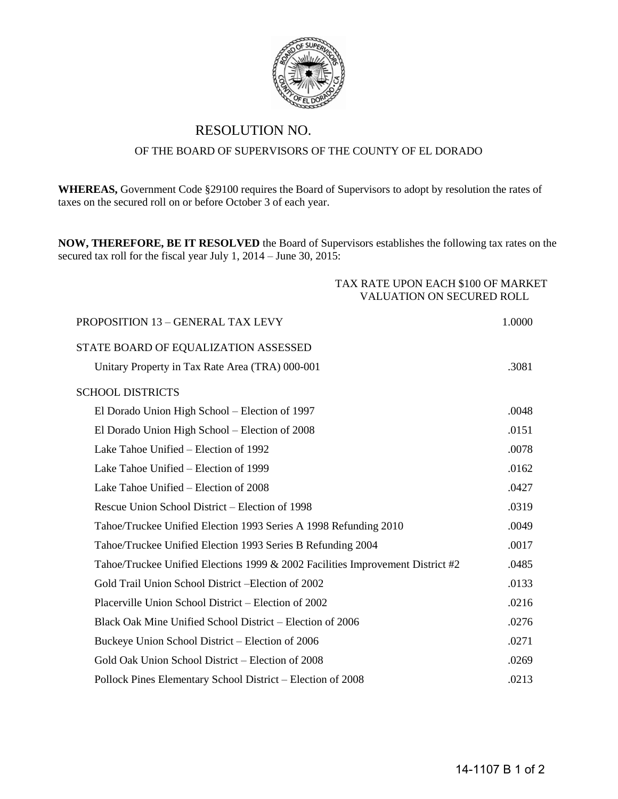

## RESOLUTION NO.

## OF THE BOARD OF SUPERVISORS OF THE COUNTY OF EL DORADO

**WHEREAS,** Government Code §29100 requires the Board of Supervisors to adopt by resolution the rates of taxes on the secured roll on or before October 3 of each year.

**NOW, THEREFORE, BE IT RESOLVED** the Board of Supervisors establishes the following tax rates on the secured tax roll for the fiscal year July 1, 2014 – June 30, 2015:

TAX RATE UPON EACH \$100 OF MARKET

| <b>VALUATION ON SECURED ROLL</b>                                               |        |
|--------------------------------------------------------------------------------|--------|
| PROPOSITION 13 - GENERAL TAX LEVY                                              | 1.0000 |
| STATE BOARD OF EQUALIZATION ASSESSED                                           |        |
| Unitary Property in Tax Rate Area (TRA) 000-001                                | .3081  |
| <b>SCHOOL DISTRICTS</b>                                                        |        |
| El Dorado Union High School – Election of 1997                                 | .0048  |
| El Dorado Union High School – Election of 2008                                 | .0151  |
| Lake Tahoe Unified – Election of 1992                                          | .0078  |
| Lake Tahoe Unified – Election of 1999                                          | .0162  |
| Lake Tahoe Unified – Election of 2008                                          | .0427  |
| Rescue Union School District – Election of 1998                                | .0319  |
| Tahoe/Truckee Unified Election 1993 Series A 1998 Refunding 2010               | .0049  |
| Tahoe/Truckee Unified Election 1993 Series B Refunding 2004                    | .0017  |
| Tahoe/Truckee Unified Elections 1999 & 2002 Facilities Improvement District #2 | .0485  |
| Gold Trail Union School District - Election of 2002                            | .0133  |
| Placerville Union School District – Election of 2002                           | .0216  |
| Black Oak Mine Unified School District – Election of 2006                      | .0276  |
| Buckeye Union School District – Election of 2006                               | .0271  |
| Gold Oak Union School District – Election of 2008                              | .0269  |
| Pollock Pines Elementary School District – Election of 2008                    | .0213  |
|                                                                                |        |